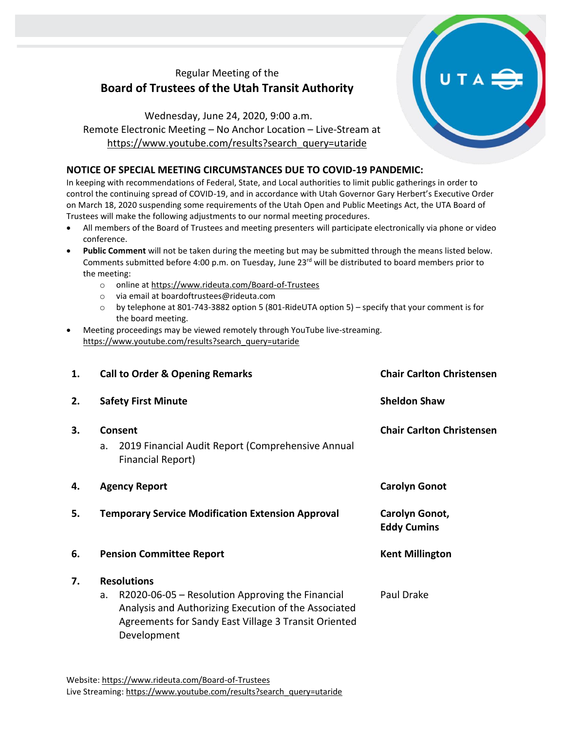# Regular Meeting of the **Board of Trustees of the Utah Transit Authority**

Wednesday, June 24, 2020, 9:00 a.m. Remote Electronic Meeting – No Anchor Location – Live-Stream at [https://www.youtube.com/results?search\\_query=utaride](https://www.youtube.com/results?search_query=utaride)

## **NOTICE OF SPECIAL MEETING CIRCUMSTANCES DUE TO COVID-19 PANDEMIC:**

In keeping with recommendations of Federal, State, and Local authorities to limit public gatherings in order to control the continuing spread of COVID-19, and in accordance with Utah Governor Gary Herbert's Executive Order on March 18, 2020 suspending some requirements of the Utah Open and Public Meetings Act, the UTA Board of Trustees will make the following adjustments to our normal meeting procedures.

- All members of the Board of Trustees and meeting presenters will participate electronically via phone or video conference.
- **Public Comment** will not be taken during the meeting but may be submitted through the means listed below. Comments submitted before 4:00 p.m. on Tuesday, June 23rd will be distributed to board members prior to the meeting:
	- o online at<https://www.rideuta.com/Board-of-Trustees>
	- o via email at [boardoftrustees@rideuta.com](mailto:boardoftrustees@rideuta.com)
	- o by telephone at 801-743-3882 option 5 (801-RideUTA option 5) specify that your comment is for the board meeting.
- Meeting proceedings may be viewed remotely through YouTube live-streaming. [https://www.youtube.com/results?search\\_query=utaride](https://www.youtube.com/results?search_query=utaride)

| 1. | <b>Call to Order &amp; Opening Remarks</b>                                                                                                                                                                  | <b>Chair Carlton Christensen</b>     |
|----|-------------------------------------------------------------------------------------------------------------------------------------------------------------------------------------------------------------|--------------------------------------|
| 2. | <b>Safety First Minute</b>                                                                                                                                                                                  | <b>Sheldon Shaw</b>                  |
| 3. | Consent<br>2019 Financial Audit Report (Comprehensive Annual<br>a.<br>Financial Report)                                                                                                                     | <b>Chair Carlton Christensen</b>     |
| 4. | <b>Agency Report</b>                                                                                                                                                                                        | <b>Carolyn Gonot</b>                 |
| 5. | <b>Temporary Service Modification Extension Approval</b>                                                                                                                                                    | Carolyn Gonot,<br><b>Eddy Cumins</b> |
| 6. | <b>Pension Committee Report</b>                                                                                                                                                                             | <b>Kent Millington</b>               |
| 7. | <b>Resolutions</b><br>R2020-06-05 - Resolution Approving the Financial<br>a.<br>Analysis and Authorizing Execution of the Associated<br>Agreements for Sandy East Village 3 Transit Oriented<br>Development | Paul Drake                           |